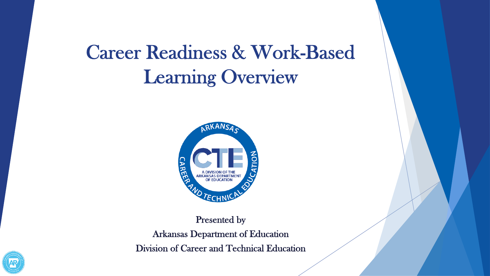# Career Readiness & Work-Based Learning Overview



Presented by Arkansas Department of Education Division of Career and Technical Education

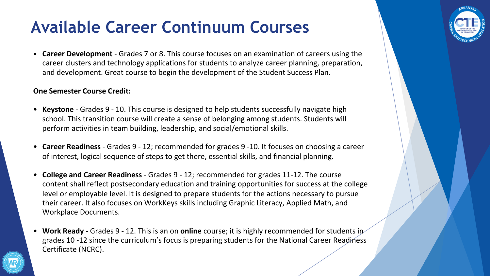

#### **Available Career Continuum Courses**

• **Career Development** - Grades 7 or 8. This course focuses on an examination of careers using the career clusters and technology applications for students to analyze career planning, preparation, and development. Great course to begin the development of the Student Success Plan.

#### **One Semester Course Credit:**

- **Keystone** Grades 9 10. This course is designed to help students successfully navigate high school. This transition course will create a sense of belonging among students. Students will perform activities in team building, leadership, and social/emotional skills.
- **Career Readiness** Grades 9 12; recommended for grades 9 -10. It focuses on choosing a career of interest, logical sequence of steps to get there, essential skills, and financial planning.
- **College and Career Readiness**  Grades 9 12; recommended for grades 11-12. The course content shall reflect postsecondary education and training opportunities for success at the college level or employable level. It is designed to prepare students for the actions necessary to pursue their career. It also focuses on WorkKeys skills including Graphic Literacy, Applied Math, and Workplace Documents.
- **Work Ready** Grades 9 12. This is an on **online** course; it is highly recommended for students in grades 10 -12 since the curriculum's focus is preparing students for the National Career Readiness Certificate (NCRC).

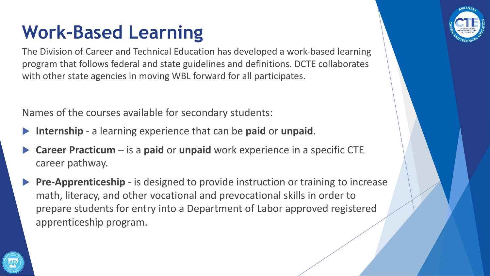#### **Work-Based Learning**

The Division of Career and Technical Education has developed a work-based learning program that follows federal and state guidelines and definitions. DCTE collaborates with other state agencies in moving WBL forward for all participates.

Names of the courses available for secondary students:

- u **Internship** a learning experience that can be **paid** or **unpaid**.
- u **Career Practicum**  is a **paid** or **unpaid** work experience in a specific CTE career pathway.
- **Pre-Apprenticeship** is designed to provide instruction or training to increase math, literacy, and other vocational and prevocational skills in order to prepare students for entry into a Department of Labor approved registered apprenticeship program.

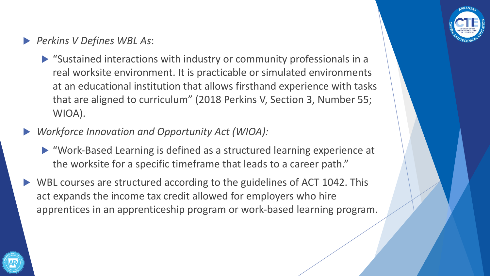

#### **Perkins V Defines WBL As:**

- $\triangleright$  "Sustained interactions with industry or community professionals in a real worksite environment. It is practicable or simulated environments at an educational institution that allows firsthand experience with tasks that are aligned to curriculum" (2018 Perkins V, Section 3, Number 55; WIOA).
- *Workforce Innovation and Opportunity Act (WIOA):* 
	- $\triangleright$  "Work-Based Learning is defined as a structured learning experience at the worksite for a specific timeframe that leads to a career path."
- WBL courses are structured according to the guidelines of ACT 1042. This act expands the income tax credit allowed for employers who hire apprentices in an apprenticeship program or work-based learning program.

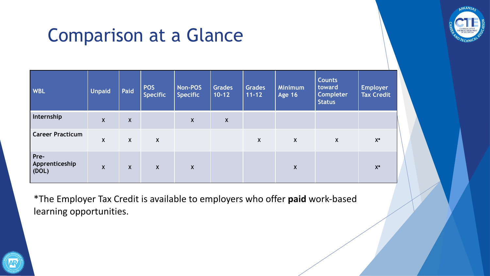

#### Comparison at a Glance

| <b>WBL</b>                      | <b>Unpaid</b> | Paid                      | <b>POS</b><br><b>Specific</b> | Non-POS<br><b>Specific</b> | <b>Grades</b><br>$10 - 12$ | <b>Grades</b><br>$11 - 12$ | <b>Minimum</b><br><b>Age 16</b> | <b>Counts</b><br>toward<br><b>Completer</b><br><b>Status</b> | <b>Employer</b><br>Tax Credit |
|---------------------------------|---------------|---------------------------|-------------------------------|----------------------------|----------------------------|----------------------------|---------------------------------|--------------------------------------------------------------|-------------------------------|
| Internship                      | $\mathsf{X}$  | X                         |                               | X                          | X                          |                            |                                 |                                                              |                               |
| <b>Career Practicum</b>         | X             | $\boldsymbol{\mathsf{X}}$ | $\mathsf{X}$                  |                            |                            | $\boldsymbol{X}$           | X                               | $\pmb{\mathsf{X}}$                                           | $X^*$                         |
| Pre-<br>Apprenticeship<br>(DOL) | $\mathsf{X}$  | X                         | $\boldsymbol{X}$              | $\pmb{\mathsf{X}}$         |                            |                            | X                               |                                                              | $X^*$                         |

\*The Employer Tax Credit is available to employers who offer **paid** work-based learning opportunities.

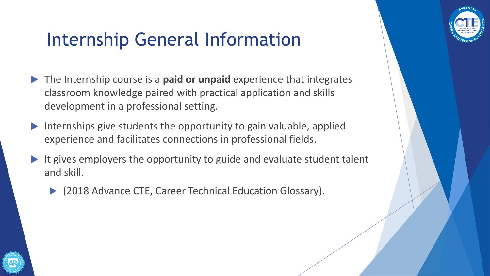

# Internship General Information

- The Internship course is a **paid or unpaid** experience that integrates classroom knowledge paired with practical application and skills development in a professional setting.
- Internships give students the opportunity to gain valuable, applied experience and facilitates connections in professional fields.
- $\blacktriangleright$  It gives employers the opportunity to guide and evaluate student talent and skill.
	- ▶ (2018 Advance CTE, Career Technical Education Glossary).

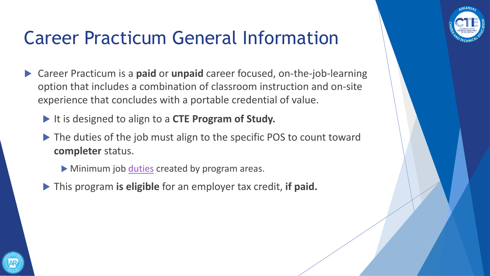# **Career Pract[icum](https://drive.google.com/file/d/1JD5_aVEpCQD7jQ9wrsnX4hMKcDQeWQjl/view) General Informat**

- **Example 2** Career Practicum is a **paid** or **unpaid** career focused, on-theoption that includes a combination of classroom instruction experience that concludes with a portable credential of value
	- It is designed to align to a CTE Program of Study.
	- $\blacktriangleright$  The duties of the job must align to the specific POS to count **completer** status.
		- $\blacktriangleright$  Minimum job duties created by program areas.
	- **If This program is eligible** for an employer tax credit, if paid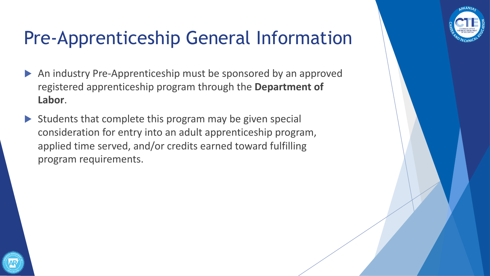

# Pre-Apprenticeship General Information

- An industry Pre-Apprenticeship must be sponsored by an approved registered apprenticeship program through the **Department of Labor**.
- $\blacktriangleright$  Students that complete this program may be given special consideration for entry into an adult apprenticeship program, applied time served, and/or credits earned toward fulfilling program requirements.

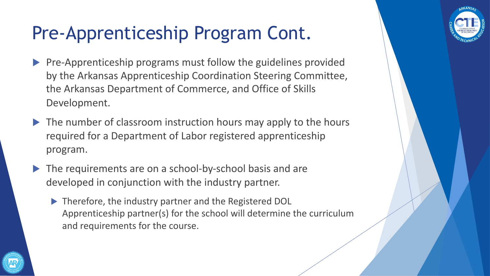#### Pre-Apprenticeship Program Cont.

- Pre-Apprenticeship programs must follow the guidelines provided by the Arkansas Apprenticeship Coordination Steering Committee, the Arkansas Department of Commerce, and Office of Skills Development.
- $\blacktriangleright$  The number of classroom instruction hours may apply to the hours required for a Department of Labor registered apprenticeship program.
- $\blacktriangleright$  The requirements are on a school-by-school basis and are developed in conjunction with the industry partner.
	- ▶ Therefore, the industry partner and the Registered DOL Apprenticeship partner(s) for the school will determine the curriculum and requirements for the course.

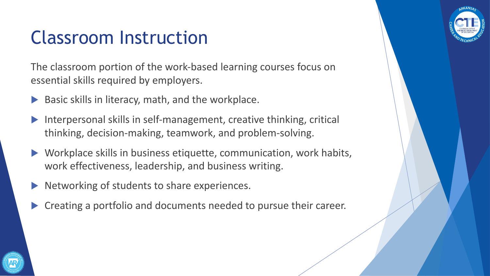#### Classroom Instruction

The classroom portion of the work-based learning courses focus on essential skills required by employers.

- Basic skills in literacy, math, and the workplace.
- Interpersonal skills in self-management, creative thinking, critical thinking, decision-making, teamwork, and problem-solving.
- Workplace skills in business etiquette, communication, work habits, work effectiveness, leadership, and business writing.
- Networking of students to share experiences.
- Creating a portfolio and documents needed to pursue their career.

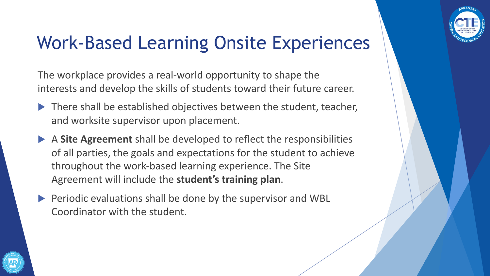

# Work-Based Learning Onsite Experiences

The workplace provides a real-world opportunity to shape the interests and develop the skills of students toward their future career.

- $\blacktriangleright$  There shall be established objectives between the student, teacher, and worksite supervisor upon placement.
- u A **Site Agreement** shall be developed to reflect the responsibilities of all parties, the goals and expectations for the student to achieve throughout the work-based learning experience. The Site Agreement will include the **student's training plan**.
- Periodic evaluations shall be done by the supervisor and WBL Coordinator with the student.

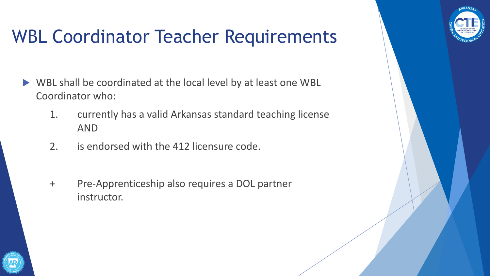

# WBL Coordinator Teacher Requirements

- $\blacktriangleright$  WBL shall be coordinated at the local level by at least one WBL Coordinator who:
	- 1. currently has a valid Arkansas standard teaching license AND
	- 2. is endorsed with the 412 licensure code.
	- + Pre-Apprenticeship also requires a DOL partner instructor.

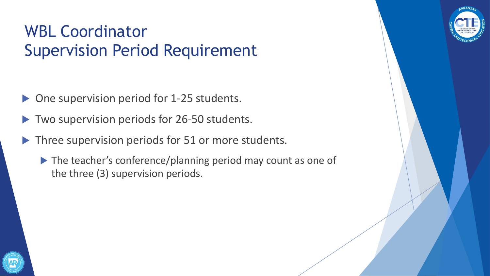#### WBL Coordinator Supervision Period Requirement

- One supervision period for 1-25 students.
- Two supervision periods for 26-50 students.
- Three supervision periods for 51 or more students.
	- $\blacktriangleright$  The teacher's conference/planning period may count as one of the three (3) supervision periods.



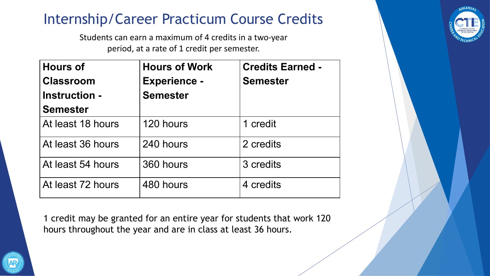#### Internship/Career Practicum Course Credits

Students can earn a maximum of 4 credits in a two-year period, at a rate of 1 credit per semester.

| <b>Hours of</b><br><b>Classroom</b><br><b>Instruction -</b><br><b>Semester</b> | <b>Hours of Work</b><br><b>Experience -</b><br><b>Semester</b> | <b>Credits Earned -</b><br><b>Semester</b> |
|--------------------------------------------------------------------------------|----------------------------------------------------------------|--------------------------------------------|
| At least 18 hours                                                              | 120 hours                                                      | 1 credit                                   |
| At least 36 hours                                                              | 240 hours                                                      | 2 credits                                  |
| At least 54 hours                                                              | 360 hours                                                      | 3 credits                                  |
| At least 72 hours                                                              | 480 hours                                                      | 4 credits                                  |

1 credit may be granted for an entire year for students that work 120 hours throughout the year and are in class at least 36 hours.

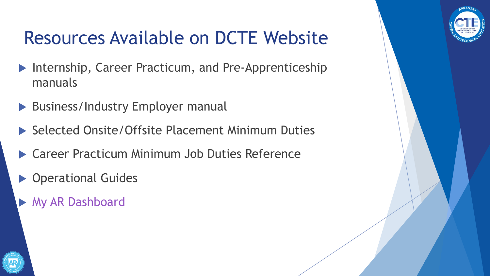# Resources Available on DCTE Websit

- $\blacktriangleright$  [Internship, Caree](https://myardashboard.arkansas.gov/)r Practicum, and Pre-Apprentices manuals
- Business/Industry Employer manual
- ▶ Selected Onsite/Offsite Placement Minimum Duties
- **Examele Practicum Minimum Job Duties Reference**
- **Derational Guides** 
	- **My AR Dashboard**

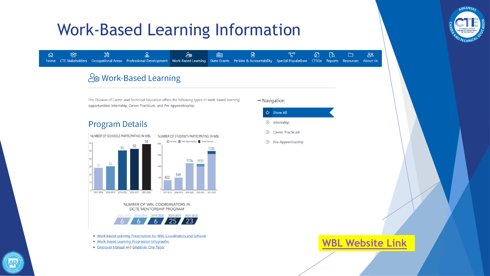#### Work-Based Learning Information



#### **Program Details**



opportunities: Internship, Career Practicum, and Pre-Apprenticeship.

- Show All ☆
- $\circledcirc$  Internship
- Career Practicum  $\circ$
- $\odot$ Pre-Apprenticeship





- . Work Based Learning Presentation for WBL Coordinators and Schools
- . Work-Based Learning Progression Infographic
- Employer Manual and Employer One Pager

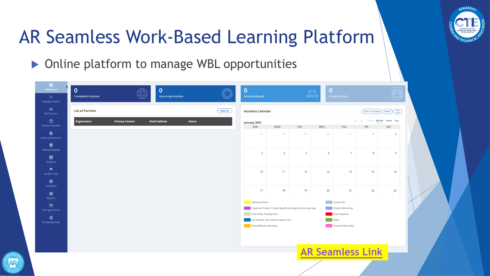### AR Seamless Work-Based Learning P

 $\triangleright$  Online platform to manage WBL opportunities

| a.<br>Dashboard                                                                                      | $\bf{0}$                    |                        | $\mathbf 0$                |               |                 | $\bf{0}$                   |                                                         |                 |
|------------------------------------------------------------------------------------------------------|-----------------------------|------------------------|----------------------------|---------------|-----------------|----------------------------|---------------------------------------------------------|-----------------|
| Q<br>Employer Search                                                                                 | <b>Completed Activities</b> |                        | <b>Upcoming Activities</b> |               |                 | <b>Advisory Boards</b>     |                                                         |                 |
| $22^{\circ}$<br>My Partners                                                                          | <b>List of Partners</b>     |                        |                            |               | <b>VIEW ALL</b> | <b>Activities Calendar</b> |                                                         |                 |
| $\qquad \qquad \qquad \qquad \qquad \qquad \qquad \qquad \qquad \qquad$<br><b>Partner Activities</b> | Organization                | <b>Primary Contact</b> | <b>Email Address</b>       | <b>Status</b> |                 | January 2021<br>SUN        | <b>MON</b>                                              | TUE             |
| $\blacksquare$<br><b>General Resources</b>                                                           |                             |                        |                            |               |                 | 27                         | 28                                                      | 29              |
| Ø<br><b>Advisory Boards</b>                                                                          |                             |                        |                            |               |                 | $\overline{\mathbf{3}}$    | $\overline{4}$                                          | $5\phantom{.0}$ |
| $\bar{\mathbf{g}}$<br>Students                                                                       |                             |                        |                            |               |                 |                            |                                                         |                 |
| P.<br><b>Student Tags</b>                                                                            |                             |                        |                            |               |                 | 10                         | 11                                                      | 12              |
| 8<br>Job Board                                                                                       |                             |                        |                            |               |                 |                            |                                                         |                 |
| 自<br>Reports                                                                                         |                             |                        |                            |               |                 | 17                         | 18                                                      | 19              |
| $\blacksquare$<br>Site Agreements                                                                    |                             |                        |                            |               |                 | Advisory Board             | Capstone Project, Project-Based Learning, Service Learn |                 |
| $\bigoplus$<br>Knowledge Base                                                                        |                             |                        |                            |               |                 | Internship, Employment     | Job Shadow, Site Visit/Company Tour                     |                 |
|                                                                                                      |                             |                        |                            |               |                 | Panels/Mock Interviews     |                                                         |                 |
|                                                                                                      |                             |                        |                            |               |                 |                            |                                                         |                 |
|                                                                                                      |                             |                        |                            |               |                 |                            |                                                         | <b>AR</b>       |

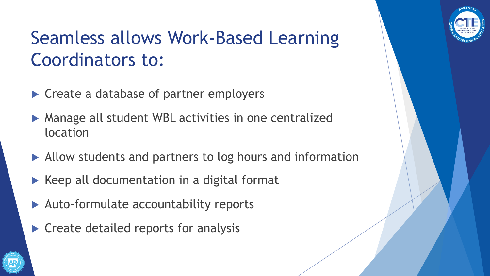

# Seamless allows Work-Based Learning Coordinators to:

- $\blacktriangleright$  Create a database of partner employers
- $\triangleright$  Manage all student WBL activities in one centralized location
- $\blacktriangleright$  Allow students and partners to log hours and information
- $\triangleright$  Keep all documentation in a digital format
- $\blacktriangleright$  Auto-formulate accountability reports
- $\triangleright$  Create detailed reports for analysis

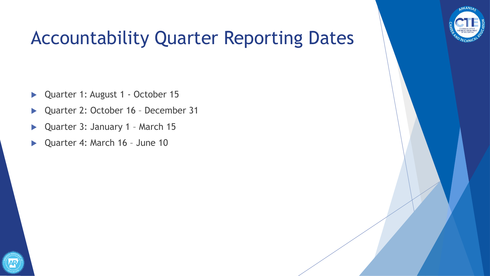

#### Accountability Quarter Reporting Dates

- ▶ Quarter 1: August 1 October 15
- ▶ Quarter 2: October 16 December 31
- ▶ Quarter 3: January 1 March 15
- ▶ Quarter 4: March 16 June 10